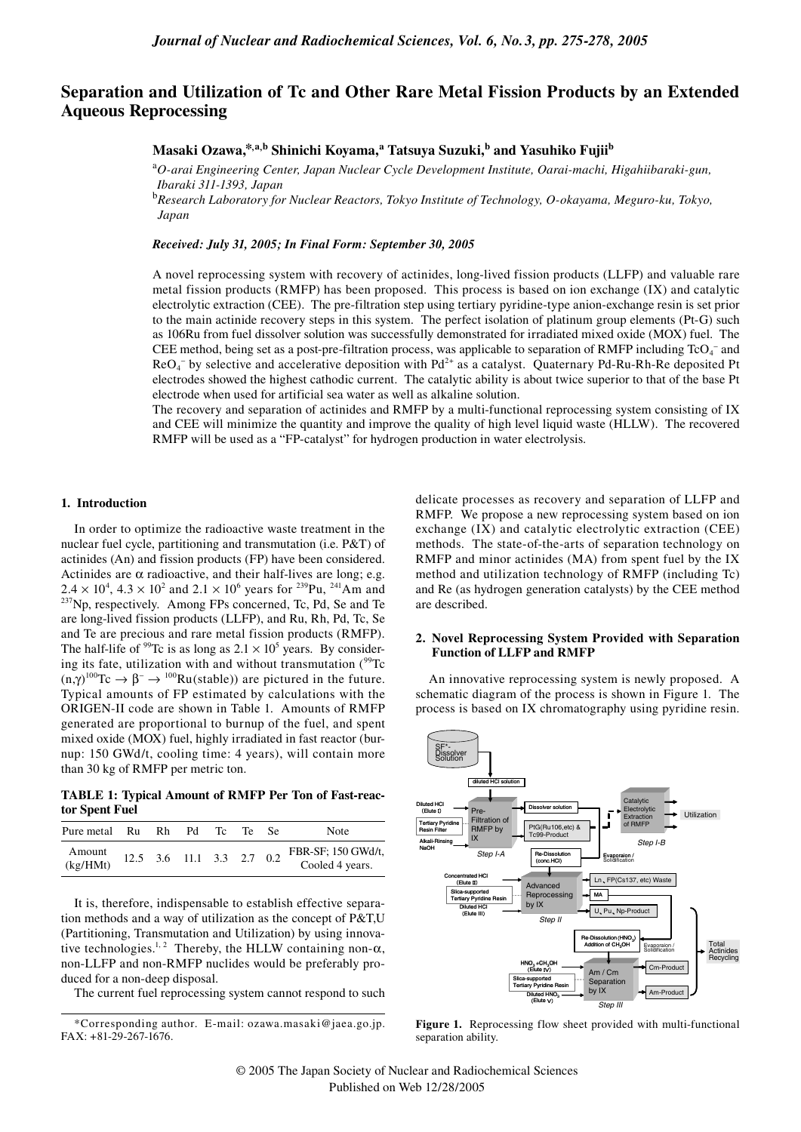# **Separation and Utilization of Tc and Other Rare Metal Fission Products by an Extended Aqueous Reprocessing**

## **Masaki Ozawa,\*,a,b Shinichi Koyama, <sup>a</sup> Tatsuya Suzuki, b and Yasuhiko Fujiib**

<sup>a</sup>*O-arai Engineering Center, Japan Nuclear Cycle Development Institute, Oarai-machi, Higahiibaraki-gun, Ibaraki 311-1393, Japan*

<sup>b</sup>*Research Laboratory for Nuclear Reactors, Tokyo Institute of Technology, O-okayama, Meguro-ku, Tokyo, Japan*

### *Received: July 31, 2005; In Final Form: September 30, 2005*

A novel reprocessing system with recovery of actinides, long-lived fission products (LLFP) and valuable rare metal fission products (RMFP) has been proposed. This process is based on ion exchange (IX) and catalytic electrolytic extraction (CEE). The pre-filtration step using tertiary pyridine-type anion-exchange resin is set prior to the main actinide recovery steps in this system. The perfect isolation of platinum group elements (Pt-G) such as 106Ru from fuel dissolver solution was successfully demonstrated for irradiated mixed oxide (MOX) fuel. The CEE method, being set as a post-pre-filtration process, was applicable to separation of RMFP including  $TcO<sub>4</sub>^-$  and  $ReO_4^-$  by selective and accelerative deposition with  $Pd^{2+}$  as a catalyst. Quaternary Pd-Ru-Rh-Re deposited Pt electrodes showed the highest cathodic current. The catalytic ability is about twice superior to that of the base Pt electrode when used for artificial sea water as well as alkaline solution.

The recovery and separation of actinides and RMFP by a multi-functional reprocessing system consisting of IX and CEE will minimize the quantity and improve the quality of high level liquid waste (HLLW). The recovered RMFP will be used as a "FP-catalyst" for hydrogen production in water electrolysis.

#### **1. Introduction**

In order to optimize the radioactive waste treatment in the nuclear fuel cycle, partitioning and transmutation (i.e. P&T) of actinides (An) and fission products (FP) have been considered. Actinides are  $\alpha$  radioactive, and their half-lives are long; e.g.  $2.4 \times 10^4$ ,  $4.3 \times 10^2$  and  $2.1 \times 10^6$ <sup>237</sup>Np, respectively. Among FPs concerned, Tc, Pd, Se and Te are long-lived fission products (LLFP), and Ru, Rh, Pd, Tc, Se and Te are precious and rare metal fission products (RMFP). The half-life of <sup>99</sup>Tc is as long as  $2.1 \times 10^5$  years. By considering its fate, utilization with and without transmutation  $(^{99}Tc)$  $(n,\gamma)^{100}\text{Te} \rightarrow \beta^- \rightarrow {}^{100}\text{Ru}(\text{stable})$  are pictured in the future. Typical amounts of FP estimated by calculations with the ORIGEN-II code are shown in Table 1. Amounts of RMFP generated are proportional to burnup of the fuel, and spent mixed oxide (MOX) fuel, highly irradiated in fast reactor (burnup: 150 GWd/t, cooling time: 4 years), will contain more than 30 kg of RMFP per metric ton.

**TABLE 1: Typical Amount of RMFP Per Ton of Fast-reactor Spent Fuel**

| Pure metal Ru      | Rh - |                           | Pd Tc | Te | Note                                  |
|--------------------|------|---------------------------|-------|----|---------------------------------------|
| Amount<br>(kg/HMt) |      | 12.5 3.6 11.1 3.3 2.7 0.2 |       |    | FBR-SF; 150 GWd/t,<br>Cooled 4 years. |

It is, therefore, indispensable to establish effective separation methods and a way of utilization as the concept of P&T,U (Partitioning, Transmutation and Utilization) by using innovative technologies.<sup>1, 2</sup> Thereby, the HLLW containing non- $\alpha$ , non-LLFP and non-RMFP nuclides would be preferably produced for a non-deep disposal.

The current fuel reprocessing system cannot respond to such

delicate processes as recovery and separation of LLFP and RMFP. We propose a new reprocessing system based on ion exchange (IX) and catalytic electrolytic extraction (CEE) methods. The state-of-the-arts of separation technology on RMFP and minor actinides (MA) from spent fuel by the IX method and utilization technology of RMFP (including Tc) and Re (as hydrogen generation catalysts) by the CEE method are described.

## **2. Novel Reprocessing System Provided with Separation Function of LLFP and RMFP**

An innovative reprocessing system is newly proposed. A schematic diagram of the process is shown in Figure 1. The process is based on IX chromatography using pyridine resin.



**Figure 1.** Reprocessing flow sheet provided with multi-functional separation ability.

<sup>\*</sup>Corresponding author. E-mail: ozawa.masaki@jaea.go.jp. FAX: +81-29-267-1676.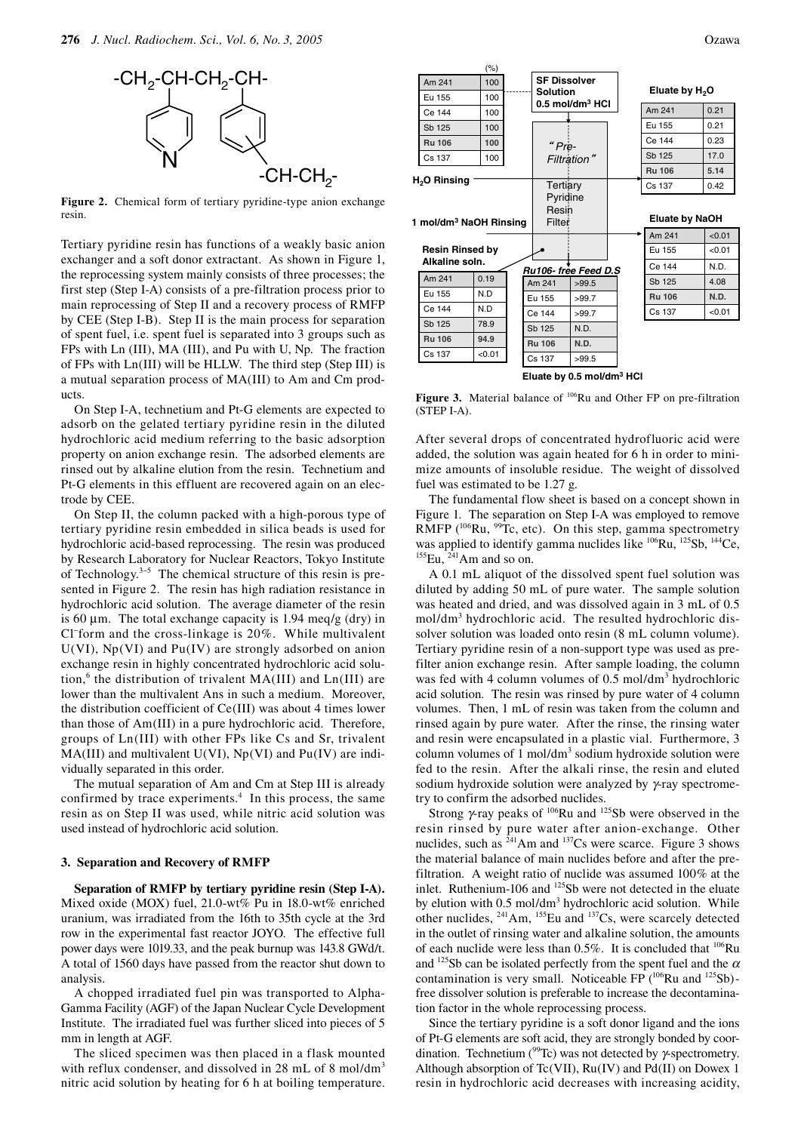

**Figure 2.** Chemical form of tertiary pyridine-type anion exchange resin.

Tertiary pyridine resin has functions of a weakly basic anion exchanger and a soft donor extractant. As shown in Figure 1, the reprocessing system mainly consists of three processes; the first step (Step I-A) consists of a pre-filtration process prior to main reprocessing of Step II and a recovery process of RMFP by CEE (Step I-B). Step II is the main process for separation of spent fuel, i.e. spent fuel is separated into 3 groups such as FPs with Ln (III), MA (III), and Pu with U, Np. The fraction of FPs with Ln(III) will be HLLW. The third step (Step III) is a mutual separation process of MA(III) to Am and Cm products.

On Step I-A, technetium and Pt-G elements are expected to adsorb on the gelated tertiary pyridine resin in the diluted hydrochloric acid medium referring to the basic adsorption property on anion exchange resin. The adsorbed elements are rinsed out by alkaline elution from the resin. Technetium and Pt-G elements in this effluent are recovered again on an electrode by CEE.

On Step II, the column packed with a high-porous type of tertiary pyridine resin embedded in silica beads is used for hydrochloric acid-based reprocessing. The resin was produced by Research Laboratory for Nuclear Reactors, Tokyo Institute of Technology.<sup>3−5</sup> The chemical structure of this resin is presented in Figure 2. The resin has high radiation resistance in hydrochloric acid solution. The average diameter of the resin is 60  $\mu$ m. The total exchange capacity is 1.94 meq/g (dry) in Cl<sup>−</sup> form and the cross-linkage is 20%. While multivalent  $U(VI)$ , Np(VI) and Pu(IV) are strongly adsorbed on anion exchange resin in highly concentrated hydrochloric acid solution,<sup>6</sup> the distribution of trivalent  $MA(III)$  and  $Ln(III)$  are lower than the multivalent Ans in such a medium. Moreover, the distribution coefficient of Ce(III) was about 4 times lower than those of Am(III) in a pure hydrochloric acid. Therefore, groups of Ln(III) with other FPs like Cs and Sr, trivalent  $MA(III)$  and multivalent  $U(VI)$ ,  $Np(VI)$  and  $Pu(IV)$  are individually separated in this order.

The mutual separation of Am and Cm at Step III is already confirmed by trace experiments.<sup>4</sup> In this process, the same resin as on Step II was used, while nitric acid solution was used instead of hydrochloric acid solution.

#### **3. Separation and Recovery of RMFP**

**Separation of RMFP by tertiary pyridine resin (Step I-A).**  Mixed oxide (MOX) fuel, 21.0-wt% Pu in 18.0-wt% enriched uranium, was irradiated from the 16th to 35th cycle at the 3rd row in the experimental fast reactor JOYO. The effective full power days were 1019.33, and the peak burnup was 143.8 GWd/t. A total of 1560 days have passed from the reactor shut down to analysis.

A chopped irradiated fuel pin was transported to Alpha-Gamma Facility (AGF) of the Japan Nuclear Cycle Development Institute. The irradiated fuel was further sliced into pieces of 5 mm in length at AGF.

The sliced specimen was then placed in a flask mounted with reflux condenser, and dissolved in 28 mL of 8 mol/dm<sup>3</sup> nitric acid solution by heating for 6 h at boiling temperature.



**Eluate by 0.5 mol/dm3 HCl**

**Figure 3.** Material balance of <sup>106</sup>Ru and Other FP on pre-filtration (STEP I-A).

After several drops of concentrated hydrofluoric acid were added, the solution was again heated for 6 h in order to minimize amounts of insoluble residue. The weight of dissolved fuel was estimated to be 1.27 g.

The fundamental flow sheet is based on a concept shown in Figure 1. The separation on Step I-A was employed to remove RMFP  $(106$ Ru, <sup>99</sup>Tc, etc). On this step, gamma spectrometry was applied to identify gamma nuclides like  $^{106}Ru$ ,  $^{125}Sb$ ,  $^{144}Ce$ ,  $^{155}Eu$ ,  $^{241}Am$  and so on.

A 0.1 mL aliquot of the dissolved spent fuel solution was diluted by adding 50 mL of pure water. The sample solution was heated and dried, and was dissolved again in 3 mL of 0.5 mol/dm3 hydrochloric acid. The resulted hydrochloric dissolver solution was loaded onto resin (8 mL column volume). Tertiary pyridine resin of a non-support type was used as prefilter anion exchange resin. After sample loading, the column was fed with 4 column volumes of 0.5 mol/dm<sup>3</sup> hydrochloric acid solution. The resin was rinsed by pure water of 4 column volumes. Then, 1 mL of resin was taken from the column and rinsed again by pure water. After the rinse, the rinsing water and resin were encapsulated in a plastic vial. Furthermore, 3 column volumes of  $1 \text{ mol/dm}^3$  sodium hydroxide solution were fed to the resin. After the alkali rinse, the resin and eluted sodium hydroxide solution were analyzed by  $\gamma$ -ray spectrometry to confirm the adsorbed nuclides.

Strong  $\gamma$ -ray peaks of <sup>106</sup>Ru and <sup>125</sup>Sb were observed in the resin rinsed by pure water after anion-exchange. Other nuclides, such as  $241$ Am and  $137$ Cs were scarce. Figure 3 shows the material balance of main nuclides before and after the prefiltration. A weight ratio of nuclide was assumed 100% at the inlet. Ruthenium-106 and <sup>125</sup>Sb were not detected in the eluate by elution with 0.5 mol/dm<sup>3</sup> hydrochloric acid solution. While other nuclides, 241Am, 155Eu and 137Cs, were scarcely detected in the outlet of rinsing water and alkaline solution, the amounts of each nuclide were less than  $0.5\%$ . It is concluded that  $106Ru$ and  $125Sb$  can be isolated perfectly from the spent fuel and the  $\alpha$ contamination is very small. Noticeable FP  $(106$ Ru and  $125$ Sb)free dissolver solution is preferable to increase the decontamination factor in the whole reprocessing process.

Since the tertiary pyridine is a soft donor ligand and the ions of Pt-G elements are soft acid, they are strongly bonded by coordination. Technetium ( $^{99}$ Tc) was not detected by γ-spectrometry. Although absorption of Tc(VII), Ru(IV) and Pd(II) on Dowex 1 resin in hydrochloric acid decreases with increasing acidity,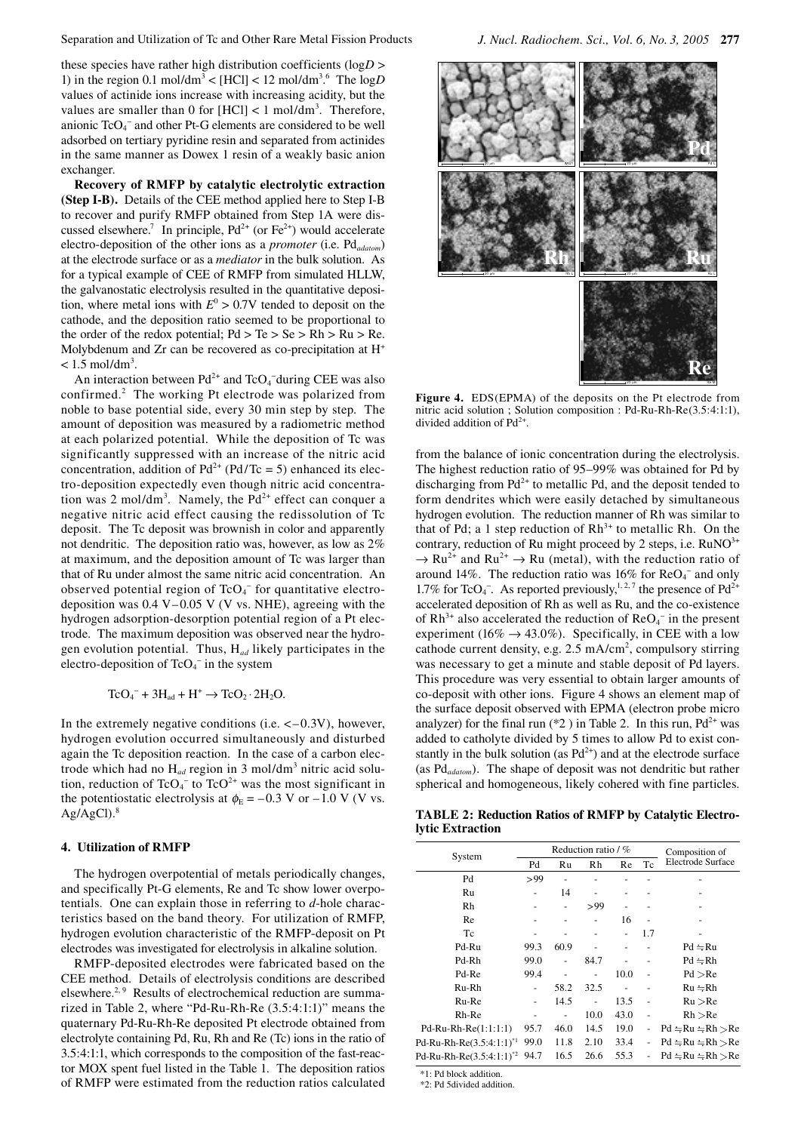these species have rather high distribution coefficients (log*D* > 1) in the region 0.1 mol/dm<sup>3</sup> < [HCl] < 12 mol/dm<sup>3</sup>.<sup>6</sup> The  $logD$ values of actinide ions increase with increasing acidity, but the values are smaller than 0 for  $[HCI] < 1$  mol/dm<sup>3</sup>. Therefore, anionic  $TcO<sub>4</sub><sup>-</sup>$  and other Pt-G elements are considered to be well adsorbed on tertiary pyridine resin and separated from actinides in the same manner as Dowex 1 resin of a weakly basic anion exchanger.

**Recovery of RMFP by catalytic electrolytic extraction (Step I-B).** Details of the CEE method applied here to Step I-B to recover and purify RMFP obtained from Step 1A were discussed elsewhere.<sup>7</sup> In principle,  $Pd^{2+}$  (or  $Fe^{2+}$ ) would accelerate electro-deposition of the other ions as a *promoter* (i.e. Pd*adatom*) at the electrode surface or as a *mediator* in the bulk solution. As for a typical example of CEE of RMFP from simulated HLLW, the galvanostatic electrolysis resulted in the quantitative deposition, where metal ions with  $E^0 > 0.7V$  tended to deposit on the cathode, and the deposition ratio seemed to be proportional to the order of the redox potential;  $Pd > Te > Se > Rh > Ru > Re$ . Molybdenum and Zr can be recovered as co-precipitation at H+  $< 1.5$  mol/dm<sup>3</sup>.

An interaction between  $Pd^{2+}$  and  $TcO_4^-$ during CEE was also confirmed.<sup>2</sup> The working Pt electrode was polarized from noble to base potential side, every 30 min step by step. The amount of deposition was measured by a radiometric method at each polarized potential. While the deposition of Tc was significantly suppressed with an increase of the nitric acid concentration, addition of  $Pd^{2+} (Pd/Te = 5)$  enhanced its electro-deposition expectedly even though nitric acid concentration was 2 mol/dm<sup>3</sup>. Namely, the  $Pd^{2+}$  effect can conquer a negative nitric acid effect causing the redissolution of Tc deposit. The Tc deposit was brownish in color and apparently not dendritic. The deposition ratio was, however, as low as 2% at maximum, and the deposition amount of Tc was larger than that of Ru under almost the same nitric acid concentration. An observed potential region of  $TcO<sub>4</sub><sup>-</sup>$  for quantitative electrodeposition was  $0.4$  V– $0.05$  V (V vs. NHE), agreeing with the hydrogen adsorption-desorption potential region of a Pt electrode. The maximum deposition was observed near the hydrogen evolution potential. Thus, H*ad* likely participates in the electro-deposition of  $TcO<sub>4</sub><sup>-</sup>$  in the system

 $\text{TeO}_4^-$  +  $3\text{H}_{ad}$  +  $\text{H}^+$   $\rightarrow$   $\text{TeO}_2 \cdot 2\text{H}_2\text{O}$ .

In the extremely negative conditions (i.e.  $\langle -0.3V \rangle$ , however, hydrogen evolution occurred simultaneously and disturbed again the Tc deposition reaction. In the case of a carbon electrode which had no H<sub>ad</sub> region in 3 mol/dm<sup>3</sup> nitric acid solution, reduction of  $TcO<sub>4</sub><sup>-</sup>$  to  $TcO<sup>2+</sup>$  was the most significant in the potentiostatic electrolysis at  $\phi_{\rm E}$  = –0.3 V or –1.0 V (V vs.  $Ag/AgCl$ ).<sup>8</sup>

### **4. Utilization of RMFP**

The hydrogen overpotential of metals periodically changes, and specifically Pt-G elements, Re and Tc show lower overpotentials. One can explain those in referring to *d*-hole characteristics based on the band theory. For utilization of RMFP, hydrogen evolution characteristic of the RMFP-deposit on Pt electrodes was investigated for electrolysis in alkaline solution.

RMFP-deposited electrodes were fabricated based on the CEE method. Details of electrolysis conditions are described elsewhere.<sup>2, 9</sup> Results of electrochemical reduction are summarized in Table 2, where "Pd-Ru-Rh-Re (3.5:4:1:1)" means the quaternary Pd-Ru-Rh-Re deposited Pt electrode obtained from electrolyte containing Pd, Ru, Rh and Re (Tc) ions in the ratio of 3.5:4:1:1, which corresponds to the composition of the fast-reactor MOX spent fuel listed in the Table 1. The deposition ratios of RMFP were estimated from the reduction ratios calculated



Figure 4. EDS(EPMA) of the deposits on the Pt electrode from nitric acid solution ; Solution composition : Pd-Ru-Rh-Re(3.5:4:1:1), divided addition of  $Pd^{2+}$ .

from the balance of ionic concentration during the electrolysis. The highest reduction ratio of 95–99% was obtained for Pd by discharging from  $Pd^{2+}$  to metallic Pd, and the deposit tended to form dendrites which were easily detached by simultaneous hydrogen evolution. The reduction manner of Rh was similar to that of Pd; a 1 step reduction of  $Rh^{3+}$  to metallic Rh. On the contrary, reduction of Ru might proceed by 2 steps, i.e.  $RuNO<sup>3+</sup>$  $\rightarrow$  Ru<sup>2+</sup> and Ru<sup>2+</sup>  $\rightarrow$  Ru (metal), with the reduction ratio of around 14%. The reduction ratio was  $16\%$  for ReO<sub>4</sub><sup>-</sup> and only 1.7% for TcO<sub>4</sub><sup>-</sup>. As reported previously,<sup>1,2,7</sup> the presence of Pd<sup>2+</sup> accelerated deposition of Rh as well as Ru, and the co-existence of  $Rh^{3+}$  also accelerated the reduction of  $ReO_4^-$  in the present experiment (16%  $\rightarrow$  43.0%). Specifically, in CEE with a low cathode current density, e.g. 2.5 mA/cm<sup>2</sup>, compulsory stirring was necessary to get a minute and stable deposit of Pd layers. This procedure was very essential to obtain larger amounts of co-deposit with other ions. Figure 4 shows an element map of the surface deposit observed with EPMA (electron probe micro analyzer) for the final run  $(*2)$  in Table 2. In this run,  $Pd^{2+}$  was added to catholyte divided by 5 times to allow Pd to exist constantly in the bulk solution (as  $Pd^{2+}$ ) and at the electrode surface (as Pd*adatom*). The shape of deposit was not dendritic but rather spherical and homogeneous, likely cohered with fine particles.

**TABLE 2: Reduction Ratios of RMFP by Catalytic Electrolytic Extraction**

| System                         |                | Reduction ratio / $%$ | Composition of |      |                |                          |
|--------------------------------|----------------|-----------------------|----------------|------|----------------|--------------------------|
|                                | Pd             | Ru                    | Rh             | Re   | Tc             | <b>Electrode Surface</b> |
| Pd                             | >99            |                       |                |      |                |                          |
| Ru                             |                | 14                    |                |      |                |                          |
| Rh                             |                |                       | >99            |      |                |                          |
| Re                             |                |                       |                | 16   |                |                          |
| Tc                             |                |                       |                |      | 1.7            |                          |
| Pd-Ru                          | 99.3           | 60.9                  |                |      |                | $Pd = Ru$                |
| Pd-Rh                          | 99.0           | $\overline{a}$        | 84.7           |      |                | $Pd = Rh$                |
| Pd-Re                          | 99.4           |                       |                | 10.0 |                | Pd > Re                  |
| Ru-Rh                          | $\overline{a}$ | 58.2                  | 32.5           |      |                | $Ru = Rh$                |
| Ru-Re                          |                | 14.5                  |                | 13.5 |                | Ru > Re                  |
| Rh-Re                          | ۰              | -                     | 10.0           | 43.0 | $\overline{a}$ | Rh > Re                  |
| $Pd-Ru-Rh-Re(1:1:1:1)$         | 95.7           | 46.0                  | 14.5           | 19.0 |                | $Pd = Ru = Rh > Re$      |
| Pd-Ru-Rh-Re $(3.5:4:1:1)^{*1}$ | 99.0           | 11.8                  | 2.10           | 33.4 | $\overline{a}$ | $Pd = Ru = Rh > Re$      |
| Pd-Ru-Rh-Re $(3.5:4:1:1)^{*2}$ | 94.7           | 16.5                  | 26.6           | 55.3 |                | $Pd = Ru = Rh > Re$      |

\*1: Pd block addition.

\*2: Pd 5divided addition.